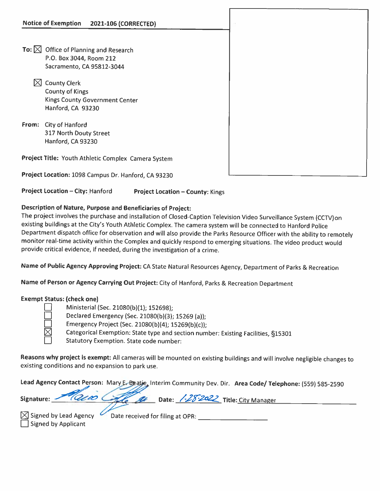| Notice of Exemption 2021-106 (CORRECTED)            |  |
|-----------------------------------------------------|--|
|                                                     |  |
| To: $\boxtimes$ Office of Planning and Research     |  |
| P.O. Box 3044, Room 212                             |  |
| Sacramento, CA 95812-3044                           |  |
| $\boxtimes$ County Clerk                            |  |
| <b>County of Kings</b>                              |  |
| Kings County Government Center                      |  |
| Hanford, CA 93230                                   |  |
| City of Hanford<br>From:                            |  |
| 317 North Douty Street                              |  |
| Hanford, CA 93230                                   |  |
| Project Title: Youth Athletic Complex Camera System |  |
| Project Location: 1098 Campus Dr. Hanford, CA 93230 |  |

Project Location — City: Hanford Project Location — County: Kings

## Description of Nature, Purpose and Beneficiaries of Project:

The project involves the purchase and installation of Closed-Caption Television Video Surveillance System (CCTV)on existing buildings at the City's Youth Athletic Complex. The camera system will be connected to Hanford Police Department dispatch office for observation and will also provide the Parks Resource Officer with the ability to remotely monitor real-time activity within the Complex and quickly respond to emerging situations. The video product would provide critical evidence, if needed, during the investigation of <sup>a</sup> crime.

Name of Public Agency Approving Project: CA State Natural Resources Agency, Department of Parks & Recreation

Name of Person or Agency Carrying Out Project: City of Hanford, Parks & Recreation Department

## Exempt Status: (check one)

Ministerial (Sec. 21080(b)(1); 152698);

Declared Emergency (Sec. 21080(b)(3); 15269 (a));

Emergency Project (Sec. 21080(b)(4); 15269(b)(c));

Categorical Exemption: State type and section number: Existing Facilities, §15301

 $\Box$  Statutory Exemption. State code number:

Reasons why project is exempt: All cameras will be mounted on existing buildings and will involve negligible changes to existing conditions and no expansion to park use.

Lead Agency Contact Person: Mary E. Beatie, Interim Community Dev. Dir. Area Code/ Telephone: (559) 585-2590

|        | Signature: 2000 College Date: 1.28.2022 Title: City Manager |  |
|--------|-------------------------------------------------------------|--|
| $\sim$ |                                                             |  |

**Signed by Applicant** 

 $\boxtimes$  Signed by Lead Agency  $\triangledown$  Date received for filing at OPR: